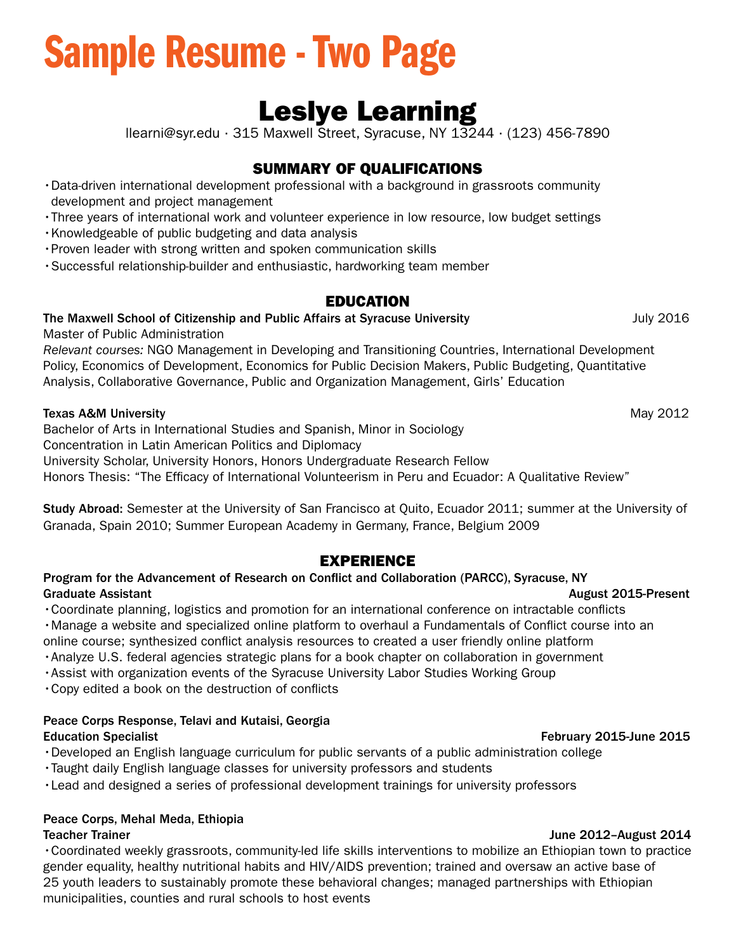# Sample Resume - Two Page

## Leslye Learning

llearni@syr.edu ∙ 315 Maxwell Street, Syracuse, NY 13244 ∙ (123) 456-7890

### SUMMARY OF QUALIFICATIONS

- •Data-driven international development professional with a background in grassroots community development and project management
- •Three years of international work and volunteer experience in low resource, low budget settings
- •Knowledgeable of public budgeting and data analysis
- •Proven leader with strong written and spoken communication skills
- •Successful relationship-builder and enthusiastic, hardworking team member

### EDUCATION

#### The Maxwell School of Citizenship and Public Affairs at Syracuse University The Maxwell School of Citizenship and Public Affairs at Syracuse University

Master of Public Administration

*Relevant courses:* NGO Management in Developing and Transitioning Countries, International Development Policy, Economics of Development, Economics for Public Decision Makers, Public Budgeting, Quantitative Analysis, Collaborative Governance, Public and Organization Management, Girls' Education

#### Texas A&M University **May 2012**

Bachelor of Arts in International Studies and Spanish, Minor in Sociology Concentration in Latin American Politics and Diplomacy University Scholar, University Honors, Honors Undergraduate Research Fellow Honors Thesis: "The Effcacy of International Volunteerism in Peru and Ecuador: A Qualitative Review"

Study Abroad: Semester at the University of San Francisco at Quito, Ecuador 2011; summer at the University of Granada, Spain 2010; Summer European Academy in Germany, France, Belgium 2009

### EXPERIENCE

#### Program for the Advancement of Research on Confict and Collaboration (PARCC), Syracuse, NY Graduate Assistant **August 2015-Present** Controllering and August 2015-Present

•Coordinate planning, logistics and promotion for an international conference on intractable conficts •Manage a website and specialized online platform to overhaul a Fundamentals of Confict course into an online course; synthesized confict analysis resources to created a user friendly online platform

- •Analyze U.S. federal agencies strategic plans for a book chapter on collaboration in government
- •Assist with organization events of the Syracuse University Labor Studies Working Group

•Copy edited a book on the destruction of conficts

#### Peace Corps Response, Telavi and Kutaisi, Georgia Education Specialist February 2015-June 2015

- •Developed an English language curriculum for public servants of a public administration college
- •Taught daily English language classes for university professors and students
- •Lead and designed a series of professional development trainings for university professors

#### Peace Corps, Mehal Meda, Ethiopia

#### **Teacher Trainer**

•Coordinated weekly grassroots, community-led life skills interventions to mobilize an Ethiopian town to practice gender equality, healthy nutritional habits and HIV/AIDS prevention; trained and oversaw an active base of 25 youth leaders to sustainably promote these behavioral changes; managed partnerships with Ethiopian municipalities, counties and rural schools to host events

June 2012-August 2014